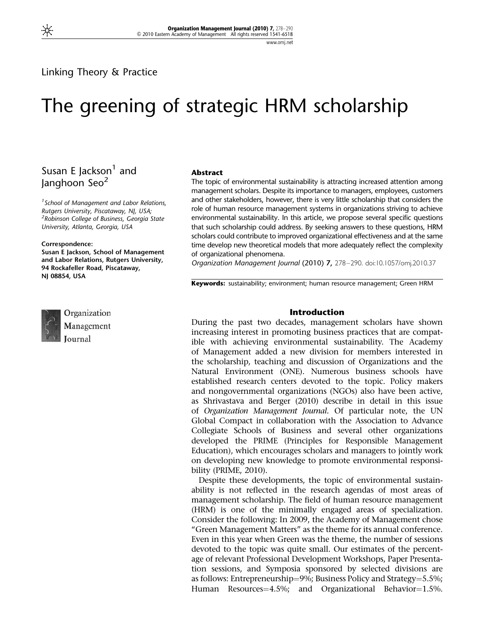# Linking Theory & Practice

# The greening of strategic HRM scholarship

# Susan E Jackson $<sup>1</sup>$  and</sup>  $lanahoon$  Seo<sup>2</sup>

<sup>1</sup> School of Management and Labor Relations, Rutgers University, Piscataway, NJ, USA; <sup>2</sup> Robinson College of Business, Georgia State University, Atlanta, Georgia, USA

#### Correspondence:

Susan E Jackson, School of Management and Labor Relations, Rutgers University, 94 Rockafeller Road, Piscataway, NJ 08854, USA



Organization Management **Journal** 

#### Abstract

The topic of environmental sustainability is attracting increased attention among management scholars. Despite its importance to managers, employees, customers and other stakeholders, however, there is very little scholarship that considers the role of human resource management systems in organizations striving to achieve environmental sustainability. In this article, we propose several specific questions that such scholarship could address. By seeking answers to these questions, HRM scholars could contribute to improved organizational effectiveness and at the same time develop new theoretical models that more adequately reflect the complexity of organizational phenomena.

Organization Management Journal (2010) 7, 278–290. doi:10.1057/omj.2010.37

Keywords: sustainability; environment; human resource management; Green HRM

# Introduction

During the past two decades, management scholars have shown increasing interest in promoting business practices that are compatible with achieving environmental sustainability. The Academy of Management added a new division for members interested in the scholarship, teaching and discussion of Organizations and the Natural Environment (ONE). Numerous business schools have established research centers devoted to the topic. Policy makers and nongovernmental organizations (NGOs) also have been active, as Shrivastava and Berger (2010) describe in detail in this issue of Organization Management Journal. Of particular note, the UN Global Compact in collaboration with the Association to Advance Collegiate Schools of Business and several other organizations developed the PRIME (Principles for Responsible Management Education), which encourages scholars and managers to jointly work on developing new knowledge to promote environmental responsibility (PRIME, 2010).

Despite these developments, the topic of environmental sustainability is not reflected in the research agendas of most areas of management scholarship. The field of human resource management (HRM) is one of the minimally engaged areas of specialization. Consider the following: In 2009, the Academy of Management chose "Green Management Matters" as the theme for its annual conference. Even in this year when Green was the theme, the number of sessions devoted to the topic was quite small. Our estimates of the percentage of relevant Professional Development Workshops, Paper Presentation sessions, and Symposia sponsored by selected divisions are as follows: Entrepreneurship=9%; Business Policy and Strategy=5.5%; Human Resources=4.5%; and Organizational Behavior=1.5%.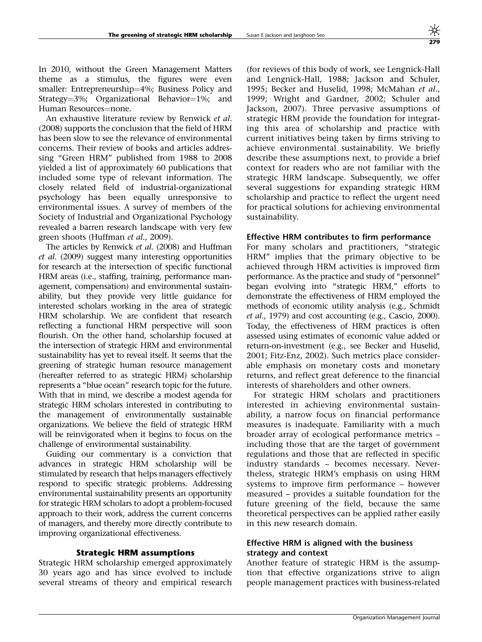In 2010, without the Green Management Matters theme as a stimulus, the figures were even smaller: Entrepreneurship=4%; Business Policy and Strategy= $3\%$ ; Organizational Behavior= $1\%$ ; and Human Resources=none.

An exhaustive literature review by Renwick et al. (2008) supports the conclusion that the field of HRM has been slow to see the relevance of environmental concerns. Their review of books and articles addressing "Green HRM" published from 1988 to 2008 yielded a list of approximately 60 publications that included some type of relevant information. The closely related field of industrial-organizational psychology has been equally unresponsive to environmental issues. A survey of members of the Society of Industrial and Organizational Psychology revealed a barren research landscape with very few green shoots (Huffman et al., 2009).

The articles by Renwick et al. (2008) and Huffman et al. (2009) suggest many interesting opportunities for research at the intersection of specific functional HRM areas (i.e., staffing, training, performance management, compensation) and environmental sustainability, but they provide very little guidance for interested scholars working in the area of strategic HRM scholarship. We are confident that research reflecting a functional HRM perspective will soon flourish. On the other hand, scholarship focused at the intersection of strategic HRM and environmental sustainability has yet to reveal itself. It seems that the greening of strategic human resource management (hereafter referred to as strategic HRM) scholarship represents a "blue ocean" research topic for the future. With that in mind, we describe a modest agenda for strategic HRM scholars interested in contributing to the management of environmentally sustainable organizations. We believe the field of strategic HRM will be reinvigorated when it begins to focus on the challenge of environmental sustainability.

Guiding our commentary is a conviction that advances in strategic HRM scholarship will be stimulated by research that helps managers effectively respond to specific strategic problems. Addressing environmental sustainability presents an opportunity for strategic HRM scholars to adopt a problem-focused approach to their work, address the current concerns of managers, and thereby more directly contribute to improving organizational effectiveness.

# Strategic HRM assumptions

Strategic HRM scholarship emerged approximately 30 years ago and has since evolved to include several streams of theory and empirical research

(for reviews of this body of work, see Lengnick-Hall and Lengnick-Hall, 1988; Jackson and Schuler, 1995; Becker and Huselid, 1998; McMahan et al., 1999; Wright and Gardner, 2002; Schuler and Jackson, 2007). Three pervasive assumptions of strategic HRM provide the foundation for integrating this area of scholarship and practice with current initiatives being taken by firms striving to achieve environmental sustainability. We briefly describe these assumptions next, to provide a brief context for readers who are not familiar with the strategic HRM landscape. Subsequently, we offer several suggestions for expanding strategic HRM scholarship and practice to reflect the urgent need for practical solutions for achieving environmental sustainability.

#### Effective HRM contributes to firm performance

For many scholars and practitioners, "strategic HRM" implies that the primary objective to be achieved through HRM activities is improved firm performance. As the practice and study of "personnel" began evolving into "strategic HRM," efforts to demonstrate the effectiveness of HRM employed the methods of economic utility analysis (e.g., Schmidt et al., 1979) and cost accounting (e.g., Cascio, 2000). Today, the effectiveness of HRM practices is often assessed using estimates of economic value added or return-on-investment (e.g., see Becker and Huselid, 2001; Fitz-Enz, 2002). Such metrics place considerable emphasis on monetary costs and monetary returns, and reflect great deference to the financial interests of shareholders and other owners.

For strategic HRM scholars and practitioners interested in achieving environmental sustainability, a narrow focus on financial performance measures is inadequate. Familiarity with a much broader array of ecological performance metrics – including those that are the target of government regulations and those that are reflected in specific industry standards – becomes necessary. Nevertheless, strategic HRM's emphasis on using HRM systems to improve firm performance – however measured – provides a suitable foundation for the future greening of the field, because the same theoretical perspectives can be applied rather easily in this new research domain.

#### Effective HRM is aligned with the business strategy and context

Another feature of strategic HRM is the assumption that effective organizations strive to align people management practices with business-related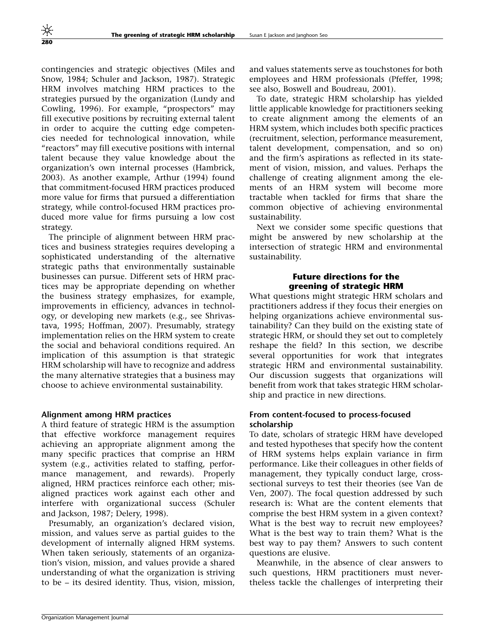contingencies and strategic objectives (Miles and Snow, 1984; Schuler and Jackson, 1987). Strategic HRM involves matching HRM practices to the strategies pursued by the organization (Lundy and Cowling, 1996). For example, "prospectors" may fill executive positions by recruiting external talent in order to acquire the cutting edge competencies needed for technological innovation, while "reactors" may fill executive positions with internal talent because they value knowledge about the organization's own internal processes (Hambrick, 2003). As another example, Arthur (1994) found that commitment-focused HRM practices produced more value for firms that pursued a differentiation strategy, while control-focused HRM practices produced more value for firms pursuing a low cost strategy.

The principle of alignment between HRM practices and business strategies requires developing a sophisticated understanding of the alternative strategic paths that environmentally sustainable businesses can pursue. Different sets of HRM practices may be appropriate depending on whether the business strategy emphasizes, for example, improvements in efficiency, advances in technology, or developing new markets (e.g., see Shrivastava, 1995; Hoffman, 2007). Presumably, strategy implementation relies on the HRM system to create the social and behavioral conditions required. An implication of this assumption is that strategic HRM scholarship will have to recognize and address the many alternative strategies that a business may choose to achieve environmental sustainability.

#### Alignment among HRM practices

A third feature of strategic HRM is the assumption that effective workforce management requires achieving an appropriate alignment among the many specific practices that comprise an HRM system (e.g., activities related to staffing, performance management, and rewards). Properly aligned, HRM practices reinforce each other; misaligned practices work against each other and interfere with organizational success (Schuler and Jackson, 1987; Delery, 1998).

Presumably, an organization's declared vision, mission, and values serve as partial guides to the development of internally aligned HRM systems. When taken seriously, statements of an organization's vision, mission, and values provide a shared understanding of what the organization is striving to be – its desired identity. Thus, vision, mission, and values statements serve as touchstones for both employees and HRM professionals (Pfeffer, 1998; see also, Boswell and Boudreau, 2001).

To date, strategic HRM scholarship has yielded little applicable knowledge for practitioners seeking to create alignment among the elements of an HRM system, which includes both specific practices (recruitment, selection, performance measurement, talent development, compensation, and so on) and the firm's aspirations as reflected in its statement of vision, mission, and values. Perhaps the challenge of creating alignment among the elements of an HRM system will become more tractable when tackled for firms that share the common objective of achieving environmental sustainability.

Next we consider some specific questions that might be answered by new scholarship at the intersection of strategic HRM and environmental sustainability.

#### Future directions for the greening of strategic HRM

What questions might strategic HRM scholars and practitioners address if they focus their energies on helping organizations achieve environmental sustainability? Can they build on the existing state of strategic HRM, or should they set out to completely reshape the field? In this section, we describe several opportunities for work that integrates strategic HRM and environmental sustainability. Our discussion suggests that organizations will benefit from work that takes strategic HRM scholarship and practice in new directions.

#### From content-focused to process-focused scholarship

To date, scholars of strategic HRM have developed and tested hypotheses that specify how the content of HRM systems helps explain variance in firm performance. Like their colleagues in other fields of management, they typically conduct large, crosssectional surveys to test their theories (see Van de Ven, 2007). The focal question addressed by such research is: What are the content elements that comprise the best HRM system in a given context? What is the best way to recruit new employees? What is the best way to train them? What is the best way to pay them? Answers to such content questions are elusive.

Meanwhile, in the absence of clear answers to such questions, HRM practitioners must nevertheless tackle the challenges of interpreting their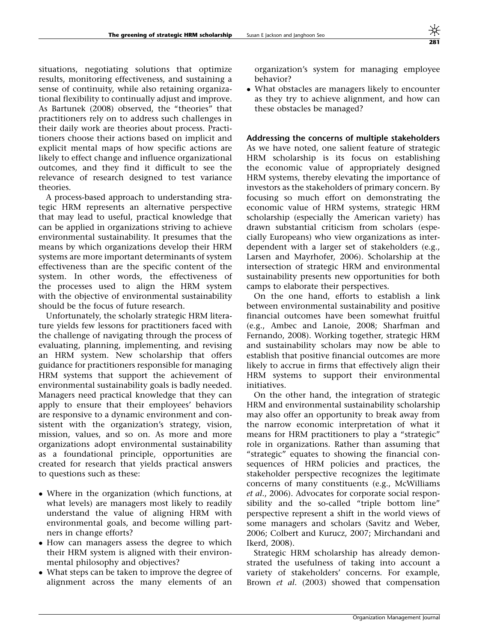situations, negotiating solutions that optimize results, monitoring effectiveness, and sustaining a sense of continuity, while also retaining organizational flexibility to continually adjust and improve. As Bartunek (2008) observed, the "theories" that practitioners rely on to address such challenges in their daily work are theories about process. Practitioners choose their actions based on implicit and explicit mental maps of how specific actions are likely to effect change and influence organizational outcomes, and they find it difficult to see the relevance of research designed to test variance theories.

A process-based approach to understanding strategic HRM represents an alternative perspective that may lead to useful, practical knowledge that can be applied in organizations striving to achieve environmental sustainability. It presumes that the means by which organizations develop their HRM systems are more important determinants of system effectiveness than are the specific content of the system. In other words, the effectiveness of the processes used to align the HRM system with the objective of environmental sustainability should be the focus of future research.

Unfortunately, the scholarly strategic HRM literature yields few lessons for practitioners faced with the challenge of navigating through the process of evaluating, planning, implementing, and revising an HRM system. New scholarship that offers guidance for practitioners responsible for managing HRM systems that support the achievement of environmental sustainability goals is badly needed. Managers need practical knowledge that they can apply to ensure that their employees' behaviors are responsive to a dynamic environment and consistent with the organization's strategy, vision, mission, values, and so on. As more and more organizations adopt environmental sustainability as a foundational principle, opportunities are created for research that yields practical answers to questions such as these:

- Where in the organization (which functions, at what levels) are managers most likely to readily understand the value of aligning HRM with environmental goals, and become willing partners in change efforts?
- How can managers assess the degree to which their HRM system is aligned with their environmental philosophy and objectives?
- What steps can be taken to improve the degree of alignment across the many elements of an

organization's system for managing employee behavior?

- What obstacles are managers likely to encounter as they try to achieve alignment, and how can these obstacles be managed?

Addressing the concerns of multiple stakeholders As we have noted, one salient feature of strategic HRM scholarship is its focus on establishing the economic value of appropriately designed HRM systems, thereby elevating the importance of investors as the stakeholders of primary concern. By focusing so much effort on demonstrating the economic value of HRM systems, strategic HRM scholarship (especially the American variety) has drawn substantial criticism from scholars (especially Europeans) who view organizations as interdependent with a larger set of stakeholders (e.g., Larsen and Mayrhofer, 2006). Scholarship at the intersection of strategic HRM and environmental sustainability presents new opportunities for both camps to elaborate their perspectives.

On the one hand, efforts to establish a link between environmental sustainability and positive financial outcomes have been somewhat fruitful (e.g., Ambec and Lanoie, 2008; Sharfman and Fernando, 2008). Working together, strategic HRM and sustainability scholars may now be able to establish that positive financial outcomes are more likely to accrue in firms that effectively align their HRM systems to support their environmental initiatives.

On the other hand, the integration of strategic HRM and environmental sustainability scholarship may also offer an opportunity to break away from the narrow economic interpretation of what it means for HRM practitioners to play a "strategic" role in organizations. Rather than assuming that "strategic" equates to showing the financial consequences of HRM policies and practices, the stakeholder perspective recognizes the legitimate concerns of many constituents (e.g., McWilliams et al., 2006). Advocates for corporate social responsibility and the so-called "triple bottom line" perspective represent a shift in the world views of some managers and scholars (Savitz and Weber, 2006; Colbert and Kurucz, 2007; Mirchandani and Ikerd, 2008).

Strategic HRM scholarship has already demonstrated the usefulness of taking into account a variety of stakeholders' concerns. For example, Brown et al. (2003) showed that compensation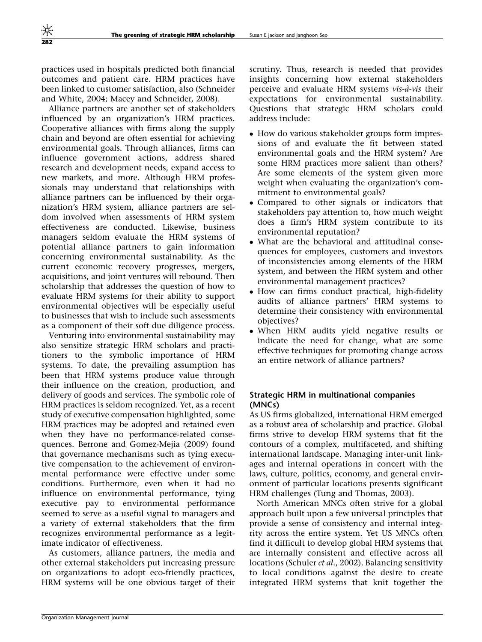practices used in hospitals predicted both financial outcomes and patient care. HRM practices have been linked to customer satisfaction, also (Schneider and White, 2004; Macey and Schneider, 2008).

Alliance partners are another set of stakeholders influenced by an organization's HRM practices. Cooperative alliances with firms along the supply chain and beyond are often essential for achieving environmental goals. Through alliances, firms can influence government actions, address shared research and development needs, expand access to new markets, and more. Although HRM professionals may understand that relationships with alliance partners can be influenced by their organization's HRM system, alliance partners are seldom involved when assessments of HRM system effectiveness are conducted. Likewise, business managers seldom evaluate the HRM systems of potential alliance partners to gain information concerning environmental sustainability. As the current economic recovery progresses, mergers, acquisitions, and joint ventures will rebound. Then scholarship that addresses the question of how to evaluate HRM systems for their ability to support environmental objectives will be especially useful to businesses that wish to include such assessments as a component of their soft due diligence process.

Venturing into environmental sustainability may also sensitize strategic HRM scholars and practitioners to the symbolic importance of HRM systems. To date, the prevailing assumption has been that HRM systems produce value through their influence on the creation, production, and delivery of goods and services. The symbolic role of HRM practices is seldom recognized. Yet, as a recent study of executive compensation highlighted, some HRM practices may be adopted and retained even when they have no performance-related consequences. Berrone and Gomez-Mejia (2009) found that governance mechanisms such as tying executive compensation to the achievement of environmental performance were effective under some conditions. Furthermore, even when it had no influence on environmental performance, tying executive pay to environmental performance seemed to serve as a useful signal to managers and a variety of external stakeholders that the firm recognizes environmental performance as a legitimate indicator of effectiveness.

As customers, alliance partners, the media and other external stakeholders put increasing pressure on organizations to adopt eco-friendly practices, HRM systems will be one obvious target of their scrutiny. Thus, research is needed that provides insights concerning how external stakeholders perceive and evaluate HRM systems vis-à-vis their expectations for environmental sustainability. Questions that strategic HRM scholars could address include:

- How do various stakeholder groups form impressions of and evaluate the fit between stated environmental goals and the HRM system? Are some HRM practices more salient than others? Are some elements of the system given more weight when evaluating the organization's commitment to environmental goals?
- Compared to other signals or indicators that stakeholders pay attention to, how much weight does a firm's HRM system contribute to its environmental reputation?
- What are the behavioral and attitudinal consequences for employees, customers and investors of inconsistencies among elements of the HRM system, and between the HRM system and other environmental management practices?
- How can firms conduct practical, high-fidelity audits of alliance partners' HRM systems to determine their consistency with environmental objectives?
- When HRM audits yield negative results or indicate the need for change, what are some effective techniques for promoting change across an entire network of alliance partners?

# Strategic HRM in multinational companies (MNCs)

As US firms globalized, international HRM emerged as a robust area of scholarship and practice. Global firms strive to develop HRM systems that fit the contours of a complex, multifaceted, and shifting international landscape. Managing inter-unit linkages and internal operations in concert with the laws, culture, politics, economy, and general environment of particular locations presents significant HRM challenges (Tung and Thomas, 2003).

North American MNCs often strive for a global approach built upon a few universal principles that provide a sense of consistency and internal integrity across the entire system. Yet US MNCs often find it difficult to develop global HRM systems that are internally consistent and effective across all locations (Schuler et al., 2002). Balancing sensitivity to local conditions against the desire to create integrated HRM systems that knit together the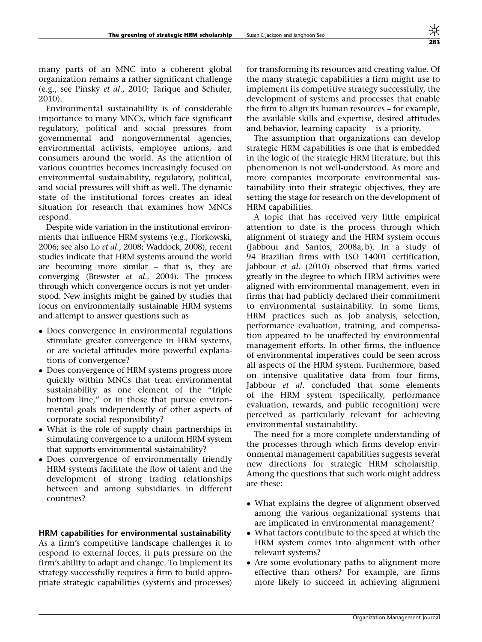many parts of an MNC into a coherent global organization remains a rather significant challenge (e.g., see Pinsky et al., 2010; Tarique and Schuler, 2010).

Environmental sustainability is of considerable importance to many MNCs, which face significant regulatory, political and social pressures from governmental and nongovernmental agencies, environmental activists, employee unions, and consumers around the world. As the attention of various countries becomes increasingly focused on environmental sustainability, regulatory, political, and social pressures will shift as well. The dynamic state of the institutional forces creates an ideal situation for research that examines how MNCs respond.

Despite wide variation in the institutional environments that influence HRM systems (e.g., Florkowski, 2006; see also Lo et al., 2008; Waddock, 2008), recent studies indicate that HRM systems around the world are becoming more similar – that is, they are converging (Brewster et al., 2004). The process through which convergence occurs is not yet understood. New insights might be gained by studies that focus on environmentally sustainable HRM systems and attempt to answer questions such as

- Does convergence in environmental regulations stimulate greater convergence in HRM systems, or are societal attitudes more powerful explanations of convergence?
- Does convergence of HRM systems progress more quickly within MNCs that treat environmental sustainability as one element of the "triple bottom line," or in those that pursue environmental goals independently of other aspects of corporate social responsibility?
- What is the role of supply chain partnerships in stimulating convergence to a uniform HRM system that supports environmental sustainability?
- Does convergence of environmentally friendly HRM systems facilitate the flow of talent and the development of strong trading relationships between and among subsidiaries in different countries?

#### HRM capabilities for environmental sustainability

As a firm's competitive landscape challenges it to respond to external forces, it puts pressure on the firm's ability to adapt and change. To implement its strategy successfully requires a firm to build appropriate strategic capabilities (systems and processes) for transforming its resources and creating value. Of the many strategic capabilities a firm might use to implement its competitive strategy successfully, the development of systems and processes that enable the firm to align its human resources – for example, the available skills and expertise, desired attitudes and behavior, learning capacity – is a priority.

The assumption that organizations can develop strategic HRM capabilities is one that is embedded in the logic of the strategic HRM literature, but this phenomenon is not well-understood. As more and more companies incorporate environmental sustainability into their strategic objectives, they are setting the stage for research on the development of HRM capabilities.

A topic that has received very little empirical attention to date is the process through which alignment of strategy and the HRM system occurs (Jabbour and Santos, 2008a, b). In a study of 94 Brazilian firms with ISO 14001 certification, Jabbour et al. (2010) observed that firms varied greatly in the degree to which HRM activities were aligned with environmental management, even in firms that had publicly declared their commitment to environmental sustainability. In some firms, HRM practices such as job analysis, selection, performance evaluation, training, and compensation appeared to be unaffected by environmental management efforts. In other firms, the influence of environmental imperatives could be seen across all aspects of the HRM system. Furthermore, based on intensive qualitative data from four firms, Jabbour et al. concluded that some elements of the HRM system (specifically, performance evaluation, rewards, and public recognition) were perceived as particularly relevant for achieving environmental sustainability.

The need for a more complete understanding of the processes through which firms develop environmental management capabilities suggests several new directions for strategic HRM scholarship. Among the questions that such work might address are these:

- What explains the degree of alignment observed among the various organizational systems that are implicated in environmental management?
- What factors contribute to the speed at which the HRM system comes into alignment with other relevant systems?
- Are some evolutionary paths to alignment more effective than others? For example, are firms more likely to succeed in achieving alignment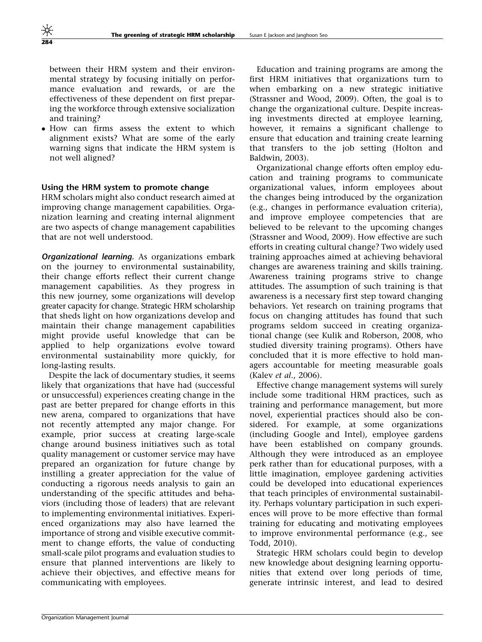between their HRM system and their environmental strategy by focusing initially on performance evaluation and rewards, or are the effectiveness of these dependent on first preparing the workforce through extensive socialization and training?

- How can firms assess the extent to which alignment exists? What are some of the early warning signs that indicate the HRM system is not well aligned?

# Using the HRM system to promote change

HRM scholars might also conduct research aimed at improving change management capabilities. Organization learning and creating internal alignment are two aspects of change management capabilities that are not well understood.

Organizational learning. As organizations embark on the journey to environmental sustainability, their change efforts reflect their current change management capabilities. As they progress in this new journey, some organizations will develop greater capacity for change. Strategic HRM scholarship that sheds light on how organizations develop and maintain their change management capabilities might provide useful knowledge that can be applied to help organizations evolve toward environmental sustainability more quickly, for long-lasting results.

Despite the lack of documentary studies, it seems likely that organizations that have had (successful or unsuccessful) experiences creating change in the past are better prepared for change efforts in this new arena, compared to organizations that have not recently attempted any major change. For example, prior success at creating large-scale change around business initiatives such as total quality management or customer service may have prepared an organization for future change by instilling a greater appreciation for the value of conducting a rigorous needs analysis to gain an understanding of the specific attitudes and behaviors (including those of leaders) that are relevant to implementing environmental initiatives. Experienced organizations may also have learned the importance of strong and visible executive commitment to change efforts, the value of conducting small-scale pilot programs and evaluation studies to ensure that planned interventions are likely to achieve their objectives, and effective means for communicating with employees.

Education and training programs are among the first HRM initiatives that organizations turn to when embarking on a new strategic initiative (Strassner and Wood, 2009). Often, the goal is to change the organizational culture. Despite increasing investments directed at employee learning, however, it remains a significant challenge to ensure that education and training create learning that transfers to the job setting (Holton and Baldwin, 2003).

Organizational change efforts often employ education and training programs to communicate organizational values, inform employees about the changes being introduced by the organization (e.g., changes in performance evaluation criteria), and improve employee competencies that are believed to be relevant to the upcoming changes (Strassner and Wood, 2009). How effective are such efforts in creating cultural change? Two widely used training approaches aimed at achieving behavioral changes are awareness training and skills training. Awareness training programs strive to change attitudes. The assumption of such training is that awareness is a necessary first step toward changing behaviors. Yet research on training programs that focus on changing attitudes has found that such programs seldom succeed in creating organizational change (see Kulik and Roberson, 2008, who studied diversity training programs). Others have concluded that it is more effective to hold managers accountable for meeting measurable goals (Kalev et al., 2006).

Effective change management systems will surely include some traditional HRM practices, such as training and performance management, but more novel, experiential practices should also be considered. For example, at some organizations (including Google and Intel), employee gardens have been established on company grounds. Although they were introduced as an employee perk rather than for educational purposes, with a little imagination, employee gardening activities could be developed into educational experiences that teach principles of environmental sustainability. Perhaps voluntary participation in such experiences will prove to be more effective than formal training for educating and motivating employees to improve environmental performance (e.g., see Todd, 2010).

Strategic HRM scholars could begin to develop new knowledge about designing learning opportunities that extend over long periods of time, generate intrinsic interest, and lead to desired

284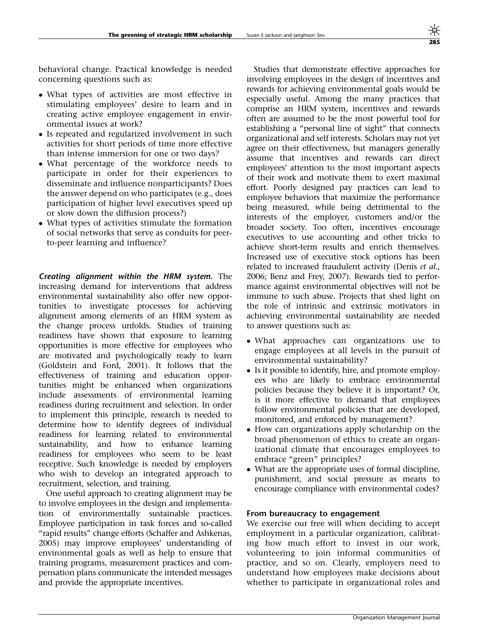behavioral change. Practical knowledge is needed concerning questions such as:

- What types of activities are most effective in stimulating employees' desire to learn and in creating active employee engagement in environmental issues at work?
- Is repeated and regularized involvement in such activities for short periods of time more effective than intense immersion for one or two days?
- What percentage of the workforce needs to participate in order for their experiences to disseminate and influence nonparticipants? Does the answer depend on who participates (e.g., does participation of higher level executives speed up or slow down the diffusion process?)
- What types of activities stimulate the formation of social networks that serve as conduits for peerto-peer learning and influence?

Creating alignment within the HRM system. The increasing demand for interventions that address environmental sustainability also offer new opportunities to investigate processes for achieving alignment among elements of an HRM system as the change process unfolds. Studies of training readiness have shown that exposure to learning opportunities is more effective for employees who are motivated and psychologically ready to learn (Goldstein and Ford, 2001). It follows that the effectiveness of training and education opportunities might be enhanced when organizations include assessments of environmental learning readiness during recruitment and selection. In order to implement this principle, research is needed to determine how to identify degrees of individual readiness for learning related to environmental sustainability, and how to enhance learning readiness for employees who seem to be least receptive. Such knowledge is needed by employers who wish to develop an integrated approach to recruitment, selection, and training.

One useful approach to creating alignment may be to involve employees in the design and implementation of environmentally sustainable practices. Employee participation in task forces and so-called "rapid results" change efforts (Schaffer and Ashkenas, 2005) may improve employees' understanding of environmental goals as well as help to ensure that training programs, measurement practices and compensation plans communicate the intended messages and provide the appropriate incentives.

Studies that demonstrate effective approaches for involving employees in the design of incentives and rewards for achieving environmental goals would be especially useful. Among the many practices that comprise an HRM system, incentives and rewards often are assumed to be the most powerful tool for establishing a "personal line of sight" that connects organizational and self interests. Scholars may not yet agree on their effectiveness, but managers generally assume that incentives and rewards can direct employees' attention to the most important aspects of their work and motivate them to exert maximal effort. Poorly designed pay practices can lead to employee behaviors that maximize the performance being measured, while being detrimental to the interests of the employer, customers and/or the broader society. Too often, incentives encourage executives to use accounting and other tricks to achieve short-term results and enrich themselves. Increased use of executive stock options has been related to increased fraudulent activity (Denis et al., 2006; Benz and Frey, 2007). Rewards tied to performance against environmental objectives will not be immune to such abuse. Projects that shed light on the role of intrinsic and extrinsic motivators in achieving environmental sustainability are needed to answer questions such as:

- What approaches can organizations use to engage employees at all levels in the pursuit of environmental sustainability?
- Is it possible to identify, hire, and promote employees who are likely to embrace environmental policies because they believe it is important? Or, is it more effective to demand that employees follow environmental policies that are developed, monitored, and enforced by management?
- How can organizations apply scholarship on the broad phenomenon of ethics to create an organizational climate that encourages employees to embrace "green" principles?
- What are the appropriate uses of formal discipline, punishment, and social pressure as means to encourage compliance with environmental codes?

# From bureaucracy to engagement

We exercise our free will when deciding to accept employment in a particular organization, calibrating how much effort to invest in our work, volunteering to join informal communities of practice, and so on. Clearly, employers need to understand how employees make decisions about whether to participate in organizational roles and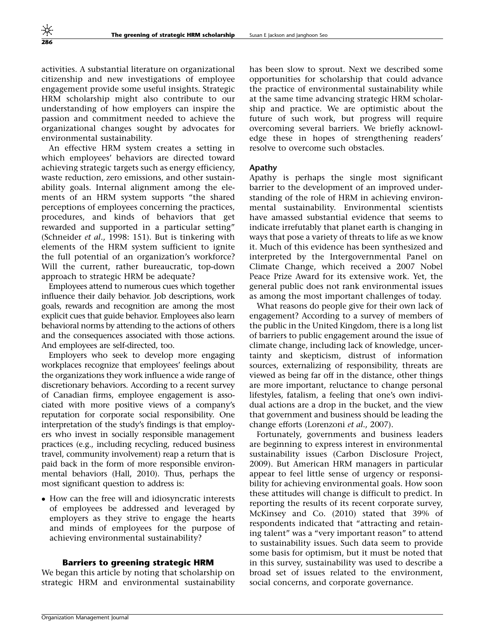activities. A substantial literature on organizational citizenship and new investigations of employee engagement provide some useful insights. Strategic HRM scholarship might also contribute to our understanding of how employers can inspire the passion and commitment needed to achieve the organizational changes sought by advocates for environmental sustainability.

An effective HRM system creates a setting in which employees' behaviors are directed toward achieving strategic targets such as energy efficiency, waste reduction, zero emissions, and other sustainability goals. Internal alignment among the elements of an HRM system supports "the shared perceptions of employees concerning the practices, procedures, and kinds of behaviors that get rewarded and supported in a particular setting" (Schneider et al., 1998: 151). But is tinkering with elements of the HRM system sufficient to ignite the full potential of an organization's workforce? Will the current, rather bureaucratic, top-down approach to strategic HRM be adequate?

Employees attend to numerous cues which together influence their daily behavior. Job descriptions, work goals, rewards and recognition are among the most explicit cues that guide behavior. Employees also learn behavioral norms by attending to the actions of others and the consequences associated with those actions. And employees are self-directed, too.

Employers who seek to develop more engaging workplaces recognize that employees' feelings about the organizations they work influence a wide range of discretionary behaviors. According to a recent survey of Canadian firms, employee engagement is associated with more positive views of a company's reputation for corporate social responsibility. One interpretation of the study's findings is that employers who invest in socially responsible management practices (e.g., including recycling, reduced business travel, community involvement) reap a return that is paid back in the form of more responsible environmental behaviors (Hall, 2010). Thus, perhaps the most significant question to address is:

- How can the free will and idiosyncratic interests of employees be addressed and leveraged by employers as they strive to engage the hearts and minds of employees for the purpose of achieving environmental sustainability?

# Barriers to greening strategic HRM

We began this article by noting that scholarship on strategic HRM and environmental sustainability has been slow to sprout. Next we described some opportunities for scholarship that could advance the practice of environmental sustainability while at the same time advancing strategic HRM scholarship and practice. We are optimistic about the future of such work, but progress will require overcoming several barriers. We briefly acknowledge these in hopes of strengthening readers' resolve to overcome such obstacles.

# Apathy

Apathy is perhaps the single most significant barrier to the development of an improved understanding of the role of HRM in achieving environmental sustainability. Environmental scientists have amassed substantial evidence that seems to indicate irrefutably that planet earth is changing in ways that pose a variety of threats to life as we know it. Much of this evidence has been synthesized and interpreted by the Intergovernmental Panel on Climate Change, which received a 2007 Nobel Peace Prize Award for its extensive work. Yet, the general public does not rank environmental issues as among the most important challenges of today.

What reasons do people give for their own lack of engagement? According to a survey of members of the public in the United Kingdom, there is a long list of barriers to public engagement around the issue of climate change, including lack of knowledge, uncertainty and skepticism, distrust of information sources, externalizing of responsibility, threats are viewed as being far off in the distance, other things are more important, reluctance to change personal lifestyles, fatalism, a feeling that one's own individual actions are a drop in the bucket, and the view that government and business should be leading the change efforts (Lorenzoni et al., 2007).

Fortunately, governments and business leaders are beginning to express interest in environmental sustainability issues (Carbon Disclosure Project, 2009). But American HRM managers in particular appear to feel little sense of urgency or responsibility for achieving environmental goals. How soon these attitudes will change is difficult to predict. In reporting the results of its recent corporate survey, McKinsey and Co. (2010) stated that 39% of respondents indicated that "attracting and retaining talent" was a "very important reason" to attend to sustainability issues. Such data seem to provide some basis for optimism, but it must be noted that in this survey, sustainability was used to describe a broad set of issues related to the environment, social concerns, and corporate governance.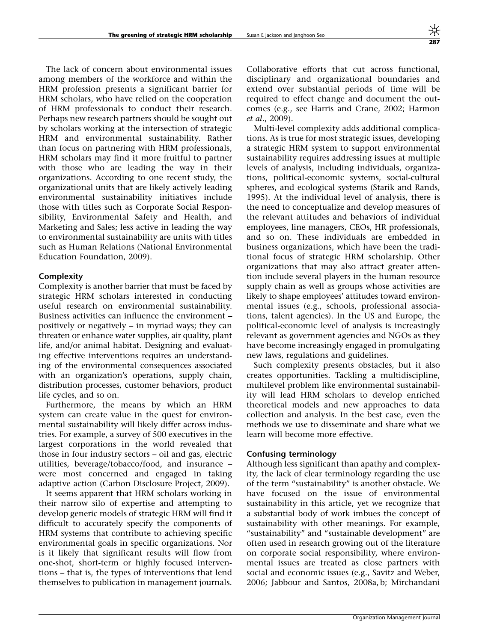The lack of concern about environmental issues among members of the workforce and within the HRM profession presents a significant barrier for HRM scholars, who have relied on the cooperation of HRM professionals to conduct their research. Perhaps new research partners should be sought out by scholars working at the intersection of strategic HRM and environmental sustainability. Rather than focus on partnering with HRM professionals, HRM scholars may find it more fruitful to partner with those who are leading the way in their organizations. According to one recent study, the organizational units that are likely actively leading environmental sustainability initiatives include those with titles such as Corporate Social Responsibility, Environmental Safety and Health, and Marketing and Sales; less active in leading the way to environmental sustainability are units with titles such as Human Relations (National Environmental Education Foundation, 2009).

# Complexity

Complexity is another barrier that must be faced by strategic HRM scholars interested in conducting useful research on environmental sustainability. Business activities can influence the environment – positively or negatively – in myriad ways; they can threaten or enhance water supplies, air quality, plant life, and/or animal habitat. Designing and evaluating effective interventions requires an understanding of the environmental consequences associated with an organization's operations, supply chain, distribution processes, customer behaviors, product life cycles, and so on.

Furthermore, the means by which an HRM system can create value in the quest for environmental sustainability will likely differ across industries. For example, a survey of 500 executives in the largest corporations in the world revealed that those in four industry sectors – oil and gas, electric utilities, beverage/tobacco/food, and insurance – were most concerned and engaged in taking adaptive action (Carbon Disclosure Project, 2009).

It seems apparent that HRM scholars working in their narrow silo of expertise and attempting to develop generic models of strategic HRM will find it difficult to accurately specify the components of HRM systems that contribute to achieving specific environmental goals in specific organizations. Nor is it likely that significant results will flow from one-shot, short-term or highly focused interventions – that is, the types of interventions that lend themselves to publication in management journals. Collaborative efforts that cut across functional, disciplinary and organizational boundaries and extend over substantial periods of time will be required to effect change and document the outcomes (e.g., see Harris and Crane, 2002; Harmon et al., 2009).

Multi-level complexity adds additional complications. As is true for most strategic issues, developing a strategic HRM system to support environmental sustainability requires addressing issues at multiple levels of analysis, including individuals, organizations, political-economic systems, social-cultural spheres, and ecological systems (Starik and Rands, 1995). At the individual level of analysis, there is the need to conceptualize and develop measures of the relevant attitudes and behaviors of individual employees, line managers, CEOs, HR professionals, and so on. These individuals are embedded in business organizations, which have been the traditional focus of strategic HRM scholarship. Other organizations that may also attract greater attention include several players in the human resource supply chain as well as groups whose activities are likely to shape employees' attitudes toward environmental issues (e.g., schools, professional associations, talent agencies). In the US and Europe, the political-economic level of analysis is increasingly relevant as government agencies and NGOs as they have become increasingly engaged in promulgating new laws, regulations and guidelines.

Such complexity presents obstacles, but it also creates opportunities. Tackling a multidiscipline, multilevel problem like environmental sustainability will lead HRM scholars to develop enriched theoretical models and new approaches to data collection and analysis. In the best case, even the methods we use to disseminate and share what we learn will become more effective.

# Confusing terminology

Although less significant than apathy and complexity, the lack of clear terminology regarding the use of the term "sustainability" is another obstacle. We have focused on the issue of environmental sustainability in this article, yet we recognize that a substantial body of work imbues the concept of sustainability with other meanings. For example, "sustainability" and "sustainable development" are often used in research growing out of the literature on corporate social responsibility, where environmental issues are treated as close partners with social and economic issues (e.g., Savitz and Weber, 2006; Jabbour and Santos, 2008a, b; Mirchandani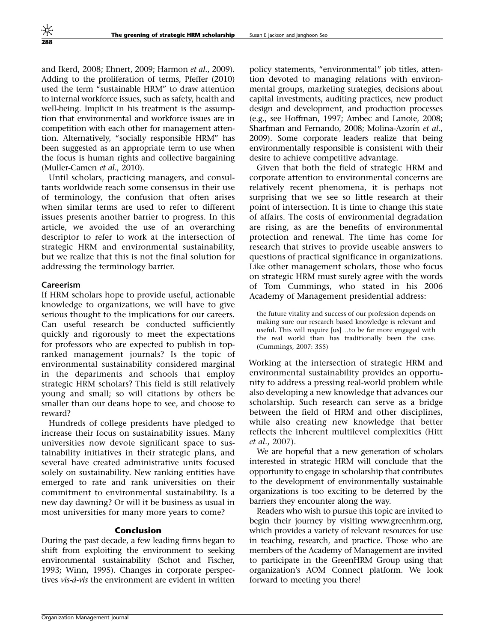and Ikerd, 2008; Ehnert, 2009; Harmon et al., 2009). Adding to the proliferation of terms, Pfeffer (2010) used the term "sustainable HRM" to draw attention to internal workforce issues, such as safety, health and well-being. Implicit in his treatment is the assumption that environmental and workforce issues are in competition with each other for management attention. Alternatively, "socially responsible HRM" has been suggested as an appropriate term to use when the focus is human rights and collective bargaining (Muller-Camen et al., 2010).

Until scholars, practicing managers, and consultants worldwide reach some consensus in their use of terminology, the confusion that often arises when similar terms are used to refer to different issues presents another barrier to progress. In this article, we avoided the use of an overarching descriptor to refer to work at the intersection of strategic HRM and environmental sustainability, but we realize that this is not the final solution for addressing the terminology barrier.

#### Careerism

If HRM scholars hope to provide useful, actionable knowledge to organizations, we will have to give serious thought to the implications for our careers. Can useful research be conducted sufficiently quickly and rigorously to meet the expectations for professors who are expected to publish in topranked management journals? Is the topic of environmental sustainability considered marginal in the departments and schools that employ strategic HRM scholars? This field is still relatively young and small; so will citations by others be smaller than our deans hope to see, and choose to reward?

Hundreds of college presidents have pledged to increase their focus on sustainability issues. Many universities now devote significant space to sustainability initiatives in their strategic plans, and several have created administrative units focused solely on sustainability. New ranking entities have emerged to rate and rank universities on their commitment to environmental sustainability. Is a new day dawning? Or will it be business as usual in most universities for many more years to come?

#### Conclusion

During the past decade, a few leading firms began to shift from exploiting the environment to seeking environmental sustainability (Schot and Fischer, 1993; Winn, 1995). Changes in corporate perspectives *vis-à-vis* the environment are evident in written policy statements, "environmental" job titles, attention devoted to managing relations with environmental groups, marketing strategies, decisions about capital investments, auditing practices, new product design and development, and production processes (e.g., see Hoffman, 1997; Ambec and Lanoie, 2008; Sharfman and Fernando, 2008; Molina-Azorín et al., 2009). Some corporate leaders realize that being environmentally responsible is consistent with their desire to achieve competitive advantage.

Given that both the field of strategic HRM and corporate attention to environmental concerns are relatively recent phenomena, it is perhaps not surprising that we see so little research at their point of intersection. It is time to change this state of affairs. The costs of environmental degradation are rising, as are the benefits of environmental protection and renewal. The time has come for research that strives to provide useable answers to questions of practical significance in organizations. Like other management scholars, those who focus on strategic HRM must surely agree with the words of Tom Cummings, who stated in his 2006 Academy of Management presidential address:

the future vitality and success of our profession depends on making sure our research based knowledge is relevant and useful. This will require [us]...to be far more engaged with the real world than has traditionally been the case. (Cummings, 2007: 355)

Working at the intersection of strategic HRM and environmental sustainability provides an opportunity to address a pressing real-world problem while also developing a new knowledge that advances our scholarship. Such research can serve as a bridge between the field of HRM and other disciplines, while also creating new knowledge that better reflects the inherent multilevel complexities (Hitt et al., 2007).

We are hopeful that a new generation of scholars interested in strategic HRM will conclude that the opportunity to engage in scholarship that contributes to the development of environmentally sustainable organizations is too exciting to be deterred by the barriers they encounter along the way.

Readers who wish to pursue this topic are invited to begin their journey by visiting www.greenhrm.org, which provides a variety of relevant resources for use in teaching, research, and practice. Those who are members of the Academy of Management are invited to participate in the GreenHRM Group using that organization's AOM Connect platform. We look forward to meeting you there!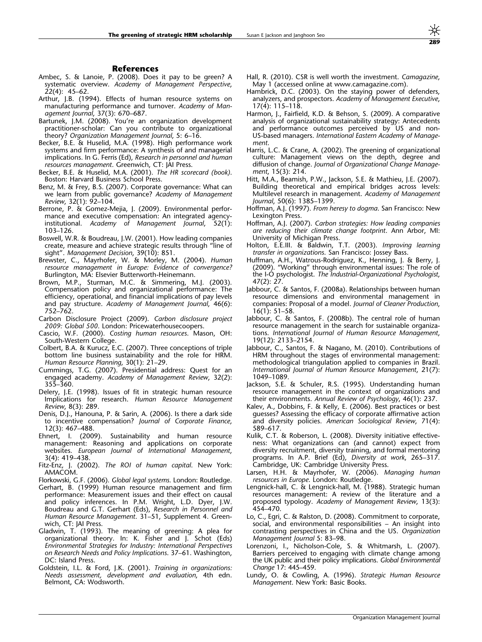- Ambec, S. & Lanoie, P. (2008). Does it pay to be green? A systematic overview. Academy of Management Perspective,  $22(4)$ : 45–62.
- Arthur, J.B. (1994). Effects of human resource systems on manufacturing performance and turnover. Academy of Management Journal, 37(3): 670–687.
- Bartunek, J.M. (2008). You're an organization development practitioner-scholar: Can you contribute to organizational theory? Organization Management Journal, 5: 6–16.
- Becker, B.E. & Huselid, M.A. (1998). High performance work systems and firm performance: A synthesis of and managerial implications. In G. Ferris (Ed), Research in personnel and human resources management. Greenwich, CT: JAI Press.
- Becker, B.E. & Huselid, M.A. (2001). The HR scorecard (book). Boston: Harvard Business School Press.
- Benz, M. & Frey, B.S. (2007). Corporate governance: What can we learn from public governance? Academy of Management Review, 32(1): 92–104.
- Berrone, P. & Gomez-Mejia, J. (2009). Environmental performance and executive compensation: An integrated agencyinstitutional. Academy of Management Journal, 52(1): 103–126.
- Boswell, W.R. & Boudreau, J.W. (2001). How leading companies create, measure and achieve strategic results through "line of sight". Management Decision, 39(10): 851.
- Brewster, C., Mayrhofer, W. & Morley, M. (2004). Human resource management in Europe: Evidence of convergence? Burlington, MA: Elsevier Butterworth-Heinemann.
- Brown, M.P., Sturman, M.C. & Simmering, M.J. (2003). Compensation policy and organizational performance: The efficiency, operational, and financial implications of pay levels and pay structure. Academy of Management Journal, 46(6): 752–762.
- Carbon Disclosure Project (2009). Carbon disclosure project 2009: Global 500. London: Pricewaterhousecoopers.
- Cascio, W.F. (2000). Costing human resources. Mason, OH: South-Western College.
- Colbert, B.A. & Kurucz, E.C. (2007). Three conceptions of triple bottom line business sustainability and the role for HRM. Human Resource Planning, 30(1): 21–29.
- Cummings, T.G. (2007). Presidential address: Quest for an engaged academy. Academy of Management Review, 32(2): 355–360.
- Delery, J.E. (1998). Issues of fit in strategic human resource Implications for research. Human Resource Management Review, 8(3): 289.
- Denis, D.J., Hanouna, P. & Sarin, A. (2006). Is there a dark side to incentive compensation? Journal of Corporate Finance, 12(3): 467–488.
- Ehnert, I. (2009). Sustainability and human resource management: Reasoning and applications on corporate websites. European Journal of International Management, 3(4): 419–438.
- Fitz-Enz, J. (2002). The ROI of human capital. New York: AMACOM.
- Florkowski, G.F. (2006). Global legal systems. London: Routledge. Gerhart, B. (1999) Human resource management and firm performance: Measurement issues and their effect on causal and policy inferences. In P.M. Wright, L.D. Dyer, J.W. Boudreau and G.T. Gerhart (Eds), Research in Personnel and Human Resource Management. 31–51, Supplement 4. Greenwich, CT: JAI Press.
- Gladwin, T. (1993). The meaning of greening: A plea for organizational theory. In: K. Fisher and J. Schot (Eds) Environmental Strategies for Industry: International Perspectives on Research Needs and Policy Implications. 37–61. Washington, DC: Island Press.
- Goldstein, I.L. & Ford, J.K. (2001). Training in organizations: Needs assessment, development and evaluation, 4th edn. Belmont, CA: Wodsworth.
- Hall, R. (2010). CSR is well worth the investment. Camagazine, May 1 (accessed online at www.camagazine.com).
- Hambrick, D.C. (2003). On the staying power of defenders, analyzers, and prospectors. Academy of Management Executive, 17(4): 115–118.
- Harmon, J., Fairfield, K.D. & Behson, S. (2009). A comparative analysis of organizational sustainability strategy: Antecedents and performance outcomes perceived by US and non-US-based managers. International Eastern Academy of Management.
- Harris, L.C. & Crane, A. (2002). The greening of organizational culture: Management views on the depth, degree and diffusion of change. Journal of Organizational Change Management, 15(3): 214.
- Hitt, M.A., Beamish, P.W., Jackson, S.E. & Mathieu, J.E. (2007). Building theoretical and empirical bridges across levels: Multilevel research in management. Academy of Management Journal, 50(6): 1385–1399.
- Hoffman, A.J. (1997). From heresy to dogma. San Francisco: New Lexington Press.
- Hoffman, A.J. (2007). Carbon strategies: How leading companies are reducing their climate change footprint. Ann Arbor, MI: University of Michigan Press.
- Holton, E.E.III. & Baldwin, T.T. (2003). Improving learning transfer in organizations. San Francisco: Jossey Bass.
- Huffman, A.H., Watrous-Rodriguez, K., Henning, J. & Berry, J. (2009). "Working" through environmental issues: The role of the I-O psychologist. The Industrial-Organizational Psychologist, 47(2): 27.
- Jabbour, C. & Santos, F. (2008a). Relationships between human resource dimensions and environmental management in companies: Proposal of a model. Journal of Cleaner Production, 16(1): 51–58.
- Jabbour, C. & Santos, F. (2008b). The central role of human resource management in the search for sustainable organizations. International Journal of Human Resource Management, 19(12): 2133–2154.
- Jabbour, C., Santos, F. & Nagano, M. (2010). Contributions of HRM throughout the stages of environmental management: methodological triangulation applied to companies in Brazil. International Journal of Human Resource Management, 21(7): 1049–1089.
- Jackson, S.E. & Schuler, R.S. (1995). Understanding human resource management in the context of organizations and their environments. Annual Review of Psychology, 46(1): 237.
- Kalev, A., Dobbins, F. & Kelly, E. (2006). Best practices or best quesses? Assessing the efficacy of corporate affirmative action and diversity policies. American Sociological Review, 71(4): 589–617.
- Kulik, C.T. & Roberson, L. (2008). Diversity initiative effectiveness: What organizations can (and cannot) expect from diversity recruitment, diversity training, and formal mentoring programs. In A.P. Brief (Ed), Diversity at work, 265–317. Cambridge, UK: Cambridge University Press.
- Larsen, H.H. & Mayrhofer, W. (2006). Managing human resources in Europe. London: Routledge.
- Lengnick-hall, C. & Lengnick-hall, M. (1988). Strategic human resources management: A review of the literature and a proposed typology. Academy of Management Review, 13(3): 454–470.
- Lo, C., Egri, C. & Ralston, D. (2008). Commitment to corporate, social, and environmental responsibilities – An insight into contrasting perspectives in China and the US. Organization Management Journal 5: 83–98.
- Lorenzoni, I., Nicholson-Cole, S. & Whitmarsh, L. (2007). Barriers perceived to engaging with climate change among the UK public and their policy implications. Global Environmental Change 17: 445–459.
- Lundy, O. & Cowling, A. (1996). Strategic Human Resource Management. New York: Basic Books.